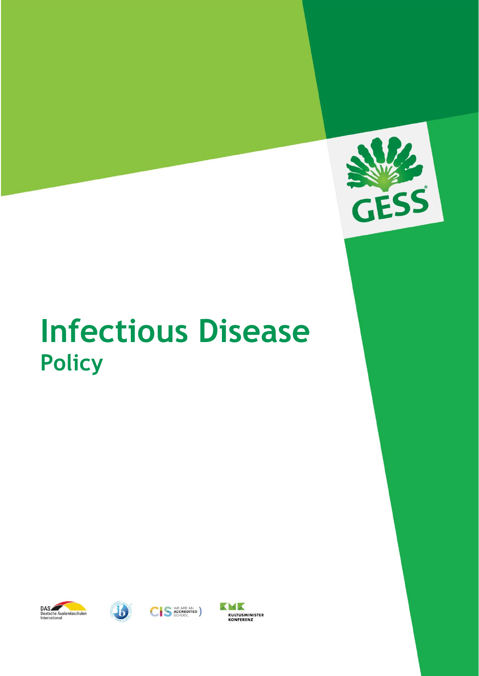

# **Infectious Disease Policy**







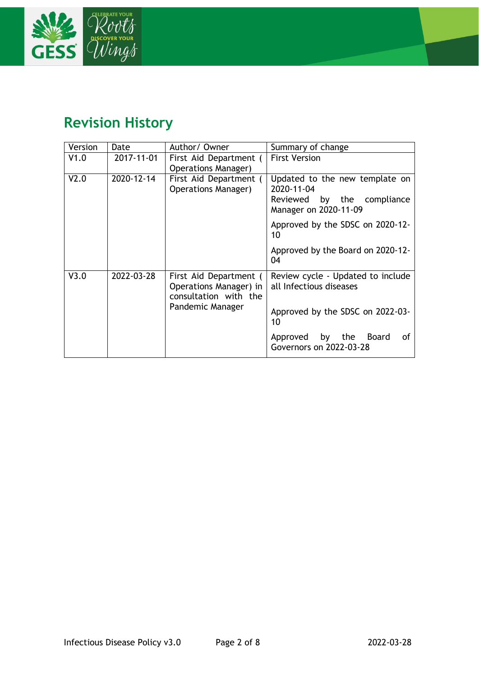

### **Revision History**

| Version | Date       | Author/Owner                                                                                  | Summary of change                                                                                      |
|---------|------------|-----------------------------------------------------------------------------------------------|--------------------------------------------------------------------------------------------------------|
| V1.0    | 2017-11-01 | First Aid Department (<br><b>Operations Manager)</b>                                          | <b>First Version</b>                                                                                   |
| V2.0    | 2020-12-14 | First Aid Department (<br><b>Operations Manager)</b>                                          | Updated to the new template on<br>2020-11-04<br>by the compliance<br>Reviewed<br>Manager on 2020-11-09 |
|         |            |                                                                                               | Approved by the SDSC on 2020-12-<br>10                                                                 |
|         |            |                                                                                               | Approved by the Board on 2020-12-<br>04                                                                |
| V3.0    | 2022-03-28 | First Aid Department (<br>Operations Manager) in<br>consultation with the<br>Pandemic Manager | Review cycle - Updated to include<br>all Infectious diseases                                           |
|         |            |                                                                                               | Approved by the SDSC on 2022-03-<br>10                                                                 |
|         |            |                                                                                               | by the Board<br>Approved<br>οf<br>Governors on 2022-03-28                                              |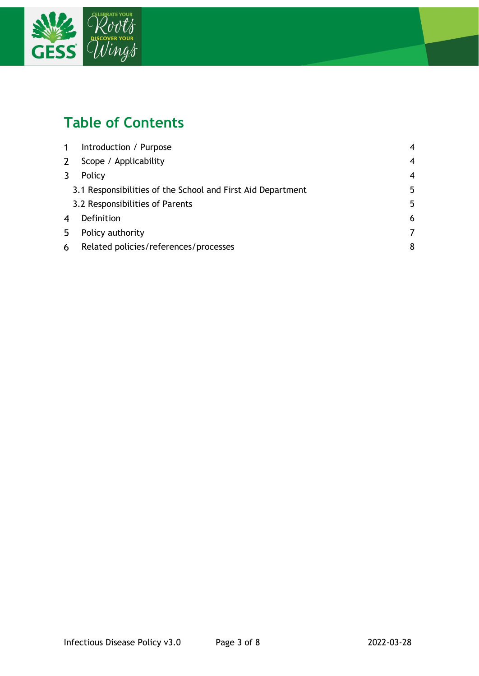

## **Table of Contents**

| $\mathbf 1$ | Introduction / Purpose                                      | 4              |
|-------------|-------------------------------------------------------------|----------------|
| 2           | Scope / Applicability                                       | 4              |
|             | Policy                                                      | $\overline{4}$ |
|             | 3.1 Responsibilities of the School and First Aid Department | 5              |
|             | 3.2 Responsibilities of Parents                             | 5              |
| 4           | Definition                                                  | 6              |
| 5           | Policy authority                                            | 7              |
| 6           | Related policies/references/processes                       | 8              |
|             |                                                             |                |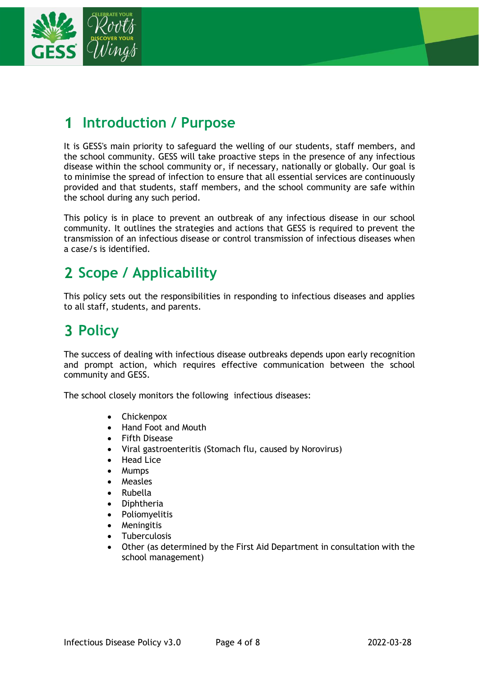

#### <span id="page-3-0"></span>**Introduction / Purpose**  $\mathbf 1$

It is GESS's main priority to safeguard the welling of our students, staff members, and the school community. GESS will take proactive steps in the presence of any infectious disease within the school community or, if necessary, nationally or globally. Our goal is to minimise the spread of infection to ensure that all essential services are continuously provided and that students, staff members, and the school community are safe within the school during any such period.

This policy is in place to prevent an outbreak of any infectious disease in our school community. It outlines the strategies and actions that GESS is required to prevent the transmission of an infectious disease or control transmission of infectious diseases when a case/s is identified.

### <span id="page-3-1"></span>**Scope / Applicability**

This policy sets out the responsibilities in responding to infectious diseases and applies to all staff, students, and parents.

### <span id="page-3-2"></span>**3 Policy**

The success of dealing with infectious disease outbreaks depends upon early recognition and prompt action, which requires effective communication between the school community and GESS.

The school closely monitors the following infectious diseases:

- Chickenpox
- Hand Foot and Mouth
- Fifth Disease
- Viral gastroenteritis (Stomach flu, caused by Norovirus)
- Head Lice
- Mumps
- Measles
- Rubella
- Diphtheria
- Poliomyelitis
- Meningitis
- Tuberculosis
- Other (as determined by the First Aid Department in consultation with the school management)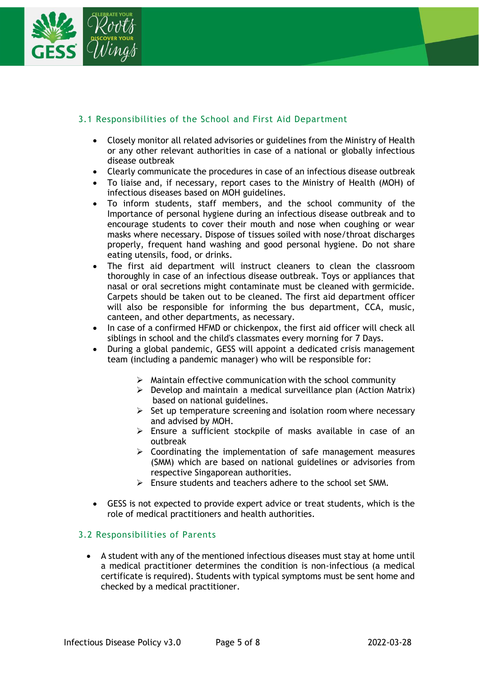

### <span id="page-4-0"></span>3.1 Responsibilities of the School and First Aid Department

- Closely monitor all related advisories or guidelines from the Ministry of Health or any other relevant authorities in case of a national or globally infectious disease outbreak
- Clearly communicate the procedures in case of an infectious disease outbreak
- To liaise and, if necessary, report cases to the Ministry of Health (MOH) of infectious diseases based on MOH guidelines.
- To inform students, staff members, and the school community of the Importance of personal hygiene during an infectious disease outbreak and to encourage students to cover their mouth and nose when coughing or wear masks where necessary. Dispose of tissues soiled with nose/throat discharges properly, frequent hand washing and good personal hygiene. Do not share eating utensils, food, or drinks.
- The first aid department will instruct cleaners to clean the classroom thoroughly in case of an infectious disease outbreak. Toys or appliances that nasal or oral secretions might contaminate must be cleaned with germicide. Carpets should be taken out to be cleaned. The first aid department officer will also be responsible for informing the bus department, CCA, music, canteen, and other departments, as necessary.
- In case of a confirmed HFMD or chickenpox, the first aid officer will check all siblings in school and the child's classmates every morning for 7 Days.
- During a global pandemic, GESS will appoint a dedicated crisis management team (including a pandemic manager) who will be responsible for:
	- $\triangleright$  Maintain effective communication with the school community
	- $\triangleright$  Develop and maintain a medical surveillance plan (Action Matrix) based on national guidelines.
	- $\triangleright$  Set up temperature screening and isolation room where necessary and advised by MOH.
	- ➢ Ensure a sufficient stockpile of masks available in case of an outbreak
	- $\triangleright$  Coordinating the implementation of safe management measures (SMM) which are based on national guidelines or advisories from respective Singaporean authorities.
	- ➢ Ensure students and teachers adhere to the school set SMM.
- GESS is not expected to provide expert advice or treat students, which is the role of medical practitioners and health authorities.

#### <span id="page-4-1"></span>3.2 Responsibilities of Parents

• A student with any of the mentioned infectious diseases must stay at home until a medical practitioner determines the condition is non-infectious (a medical certificate is required). Students with typical symptoms must be sent home and checked by a medical practitioner.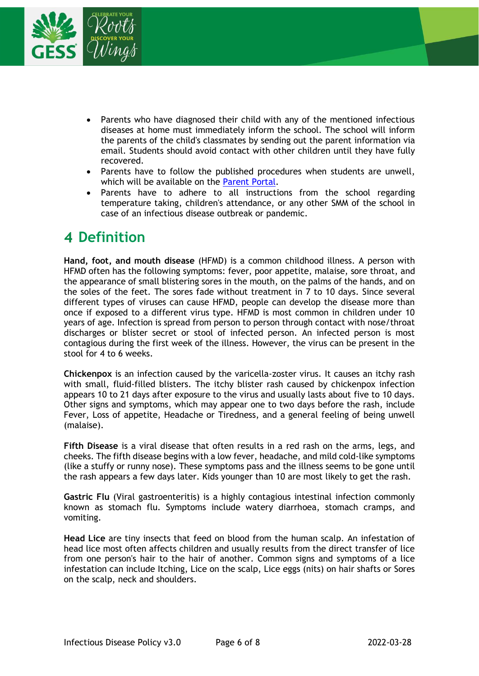

- Parents who have diagnosed their child with any of the mentioned infectious diseases at home must immediately inform the school. The school will inform the parents of the child's classmates by sending out the parent information via email. Students should avoid contact with other children until they have fully recovered.
- Parents have to follow the published procedures when students are unwell, which will be available on the [Parent Portal.](https://www.gess.sg/en/parent-portal/)
- Parents have to adhere to all instructions from the school regarding temperature taking, children's attendance, or any other SMM of the school in case of an infectious disease outbreak or pandemic.

### <span id="page-5-0"></span>**Definition**

**Hand, foot, and mouth disease** (HFMD) is a common childhood illness. A person with HFMD often has the following symptoms: fever, poor appetite, malaise, sore throat, and the appearance of small blistering sores in the mouth, on the palms of the hands, and on the soles of the feet. The sores fade without treatment in 7 to 10 days. Since several different types of viruses can cause HFMD, people can develop the disease more than once if exposed to a different virus type. HFMD is most common in children under 10 years of age. Infection is spread from person to person through contact with nose/throat discharges or blister secret or stool of infected person. An infected person is most contagious during the first week of the illness. However, the virus can be present in the stool for 4 to 6 weeks.

**Chickenpox** is an infection caused by the varicella-zoster virus. It causes an itchy rash with small, fluid-filled blisters. The itchy blister rash caused by chickenpox infection appears 10 to 21 days after exposure to the virus and usually lasts about five to 10 days. Other signs and symptoms, which may appear one to two days before the rash, include Fever, Loss of appetite, Headache or Tiredness, and a general feeling of being unwell (malaise).

**Fifth Disease** is a viral disease that often results in a red rash on the arms, legs, and cheeks. The fifth disease begins with a low fever, headache, and mild cold-like symptoms (like a stuffy or runny nose). These symptoms pass and the illness seems to be gone until the rash appears a few days later. Kids younger than 10 are most likely to get the rash.

**Gastric Flu** (Viral gastroenteritis) is a highly contagious intestinal infection commonly known as stomach flu. Symptoms include watery diarrhoea, stomach cramps, and vomiting.

**Head Lice** are tiny insects that feed on blood from the human scalp. An infestation of head lice most often affects children and usually results from the direct transfer of lice from one person's hair to the hair of another. Common signs and symptoms of a lice infestation can include Itching, Lice on the scalp, Lice eggs (nits) on hair shafts or Sores on the scalp, neck and shoulders.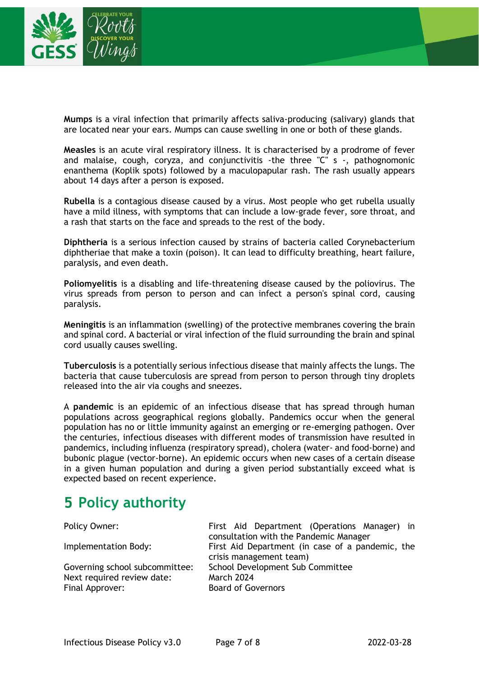

**Mumps** is a viral infection that primarily affects saliva-producing (salivary) glands that are located near your ears. Mumps can cause swelling in one or both of these glands.

**Measles** is an acute viral respiratory illness. It is characterised by a prodrome of fever and malaise, cough, coryza, and conjunctivitis -the three "C" s -, pathognomonic enanthema (Koplik spots) followed by a maculopapular rash. The rash usually appears about 14 days after a person is exposed.

**Rubella** is a contagious disease caused by a virus. Most people who get rubella usually have a mild illness, with symptoms that can include a low-grade fever, sore throat, and a rash that starts on the face and spreads to the rest of the body.

**Diphtheria** is a serious infection caused by strains of bacteria called Corynebacterium diphtheriae that make a toxin (poison). It can lead to difficulty breathing, heart failure, paralysis, and even death.

**Poliomyelitis** is a disabling and life-threatening disease caused by the poliovirus. The virus spreads from person to person and can infect a person's spinal cord, causing paralysis.

**Meningitis** is an inflammation (swelling) of the protective membranes covering the brain and spinal cord. A bacterial or viral infection of the fluid surrounding the brain and spinal cord usually causes swelling.

**Tuberculosis** is a potentially serious infectious disease that mainly affects the lungs. The bacteria that cause tuberculosis are spread from person to person through tiny droplets released into the air via coughs and sneezes.

A **pandemic** is an epidemic of an infectious disease that has spread through human populations across geographical regions globally. Pandemics occur when the general population has no or little immunity against an emerging or re-emerging pathogen. Over the centuries, infectious diseases with different modes of transmission have resulted in pandemics, including influenza (respiratory spread), cholera (water- and food-borne) and bubonic plague (vector-borne). An epidemic occurs when new cases of a certain disease in a given human population and during a given period substantially exceed what is expected based on recent experience.

### <span id="page-6-0"></span>**Policy authority**

| Policy Owner:                                                                   | First Aid Department (Operations Manager) in<br>consultation with the Pandemic Manager |
|---------------------------------------------------------------------------------|----------------------------------------------------------------------------------------|
| Implementation Body:                                                            | First Aid Department (in case of a pandemic, the<br>crisis management team)            |
| Governing school subcommittee:<br>Next required review date:<br>Final Approver: | School Development Sub Committee<br><b>March 2024</b><br><b>Board of Governors</b>     |